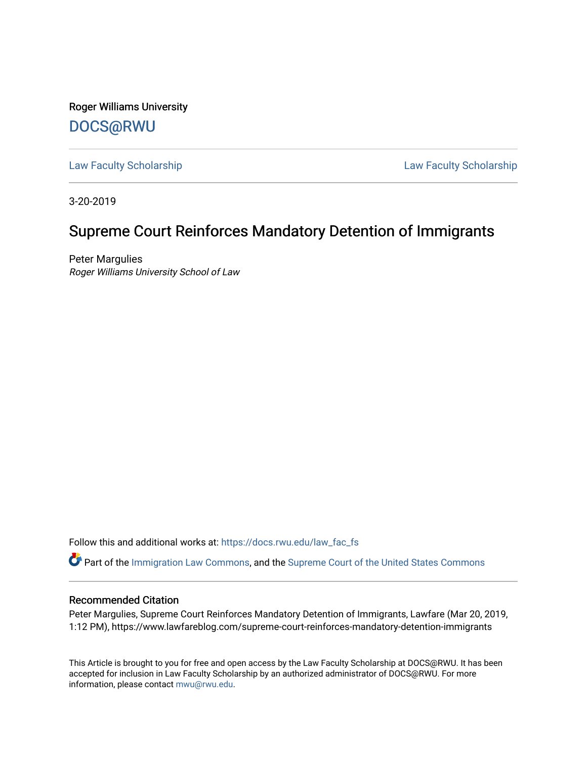Roger Williams University [DOCS@RWU](https://docs.rwu.edu/)

[Law Faculty Scholarship](https://docs.rwu.edu/law_fac_fs) [Law Faculty Scholarship](https://docs.rwu.edu/law_fac) 

3-20-2019

## Supreme Court Reinforces Mandatory Detention of Immigrants

Peter Margulies Roger Williams University School of Law

Follow this and additional works at: [https://docs.rwu.edu/law\\_fac\\_fs](https://docs.rwu.edu/law_fac_fs?utm_source=docs.rwu.edu%2Flaw_fac_fs%2F291&utm_medium=PDF&utm_campaign=PDFCoverPages) 

Part of the [Immigration Law Commons](http://network.bepress.com/hgg/discipline/604?utm_source=docs.rwu.edu%2Flaw_fac_fs%2F291&utm_medium=PDF&utm_campaign=PDFCoverPages), and the [Supreme Court of the United States Commons](http://network.bepress.com/hgg/discipline/1350?utm_source=docs.rwu.edu%2Flaw_fac_fs%2F291&utm_medium=PDF&utm_campaign=PDFCoverPages)

### Recommended Citation

Peter Margulies, Supreme Court Reinforces Mandatory Detention of Immigrants, Lawfare (Mar 20, 2019, 1:12 PM), https://www.lawfareblog.com/supreme-court-reinforces-mandatory-detention-immigrants

This Article is brought to you for free and open access by the Law Faculty Scholarship at DOCS@RWU. It has been accepted for inclusion in Law Faculty Scholarship by an authorized administrator of DOCS@RWU. For more information, please contact [mwu@rwu.edu](mailto:mwu@rwu.edu).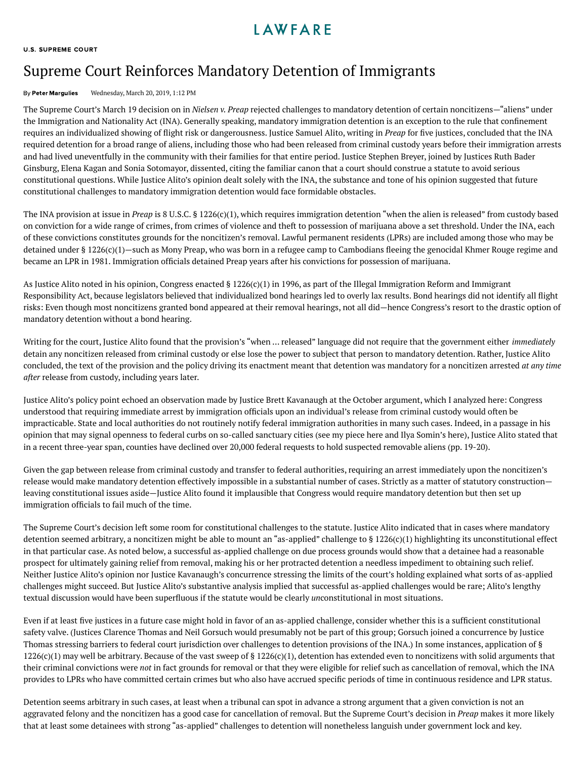### **I AWFARF**

#### U.S. [SUPREME](https://www.lawfareblog.com/topic/us-supreme-court) COURT

# Supreme Court Reinforces Mandatory Detention of Immigrants

### By Peter [Margulies](https://www.lawfareblog.com/contributors/pmargulies) Wednesday, March 20, 2019, 1:12 PM

The Supreme Court's March 19 decision on in *[Nielsen](https://www.supremecourt.gov/opinions/18pdf/16-1363_a86c.pdf) v. Preap* rejected challenges to mandatory detention of certain noncitizens—"aliens" under the Immigration and Nationality Act (INA). Generally speaking, mandatory immigration detention is an exception to the rule that confinement requires an individualized showing of flight risk or dangerousness. Justice Samuel Alito, writing in *Preap* for five justices, concluded that the INA required detention for a broad range of aliens, including those who had been released from criminal custody years before their immigration arrests and had lived uneventfully in the community with their families for that entire period. Justice Stephen Breyer, joined by Justices Ruth Bader Ginsburg, Elena Kagan and Sonia Sotomayor, dissented, citing the familiar canon that a court should construe a statute to avoid serious constitutional questions. While Justice Alito's opinion dealt solely with the INA, the substance and tone of his opinion suggested that future constitutional challenges to mandatory immigration detention would face formidable obstacles.

The INA provision at issue in *Preap* is 8 U.S.C. § [1226\(c\)\(1\),](https://www.law.cornell.edu/uscode/text/8/1226) which requires immigration detention "when the alien is released" from custody based on conviction for a wide range of crimes, from crimes of violence and theft to possession of marijuana above a set threshold. Under the INA, each of these convictions constitutes grounds for the noncitizen's removal. Lawful permanent residents (LPRs) are included among those who may be detained under § 1226(c)(1)—such as Mony Preap, who was born in a refugee camp to Cambodians fleeing the genocidal Khmer Rouge regime and became an LPR in 1981. Immigration officials detained Preap years after his convictions for possession of marijuana.

As Justice Alito noted in his opinion, Congress enacted § 1226(c)(1) in 1996, as part of the Illegal Immigration Reform and Immigrant Responsibility Act, because legislators believed that individualized bond hearings led to overly lax results. Bond hearings did not identify all ight risks: Even though most noncitizens granted bond appeared at their removal hearings, not all did—hence Congress's resort to the drastic option of mandatory detention without a bond hearing.

Writing for the court, Justice Alito found that the provision's "when … released" language did not require that the government either *immediately* detain any noncitizen released from criminal custody or else lose the power to subject that person to mandatory detention. Rather, Justice Alito concluded, the text of the provision and the policy driving its enactment meant that detention was mandatory for a noncitizen arrested *at any time after* release from custody, including years later.

Justice Alito's policy point echoed an observation made by Justice Brett Kavanaugh at the October argument, which I analyzed [here](https://www.lawfareblog.com/oral-argument-supreme-court-weighs-immigrant-detention): Congress understood that requiring immediate arrest by immigration officials upon an individual's release from criminal custody would often be impracticable. State and local authorities do not routinely notify federal immigration authorities in many such cases. Indeed, in a passage in his opinion that may signal openness to federal curbs on so-called sanctuary cities (see my piece [here](https://scholarlycommons.law.wlu.edu/cgi/viewcontent.cgi?article=4617&context=wlulr) and Ilya Somin's [here\)](https://papers.ssrn.com/sol3/papers.cfm?abstract_id=3347171), Justice Alito stated that in a recent three-year span, counties have declined over 20,000 federal requests to hold suspected removable aliens (pp. 19-20).

Given the gap between release from criminal custody and transfer to federal authorities, requiring an arrest immediately upon the noncitizen's release would make mandatory detention effectively impossible in a substantial number of cases. Strictly as a matter of statutory construction leaving constitutional issues aside—Justice Alito found it implausible that Congress would require mandatory detention but then set up immigration officials to fail much of the time.

The Supreme Court's decision left some room for constitutional challenges to the statute. Justice Alito indicated that in cases where mandatory detention seemed arbitrary, a noncitizen might be able to mount an "as-applied" challenge to § 1226(c)(1) highlighting its unconstitutional effect in that particular case. As noted below, a successful as-applied challenge on due process grounds would show that a detainee had a reasonable prospect for ultimately gaining relief from removal, making his or her protracted detention a needless impediment to obtaining such relief. Neither Justice Alito's opinion nor Justice Kavanaugh's concurrence stressing the limits of the court's holding explained what sorts of as-applied challenges might succeed. But Justice Alito's substantive analysis implied that successful as-applied challenges would be rare; Alito's lengthy textual discussion would have been superfluous if the statute would be clearly *unconstitutional in most situations*.

Even if at least five justices in a future case might hold in favor of an as-applied challenge, consider whether this is a sufficient constitutional safety valve. (Justices Clarence Thomas and Neil Gorsuch would presumably not be part of this group; Gorsuch joined a concurrence by Justice Thomas stressing barriers to federal court jurisdiction over challenges to detention provisions of the INA.) In some instances, application of § 1226(c)(1) may well be arbitrary. Because of the vast sweep of § 1226(c)(1), detention has extended even to noncitizens with solid arguments that their criminal convictions were *not* in fact grounds for removal or that they were eligible for relief such as [cancellation](https://www.uscis.gov/ilink/docView/SLB/HTML/SLB/0-0-0-1/0-0-0-29/0-0-0-6349.html) of removal, which the INA provides to LPRs who have committed certain crimes but who also have accrued specific periods of time in continuous residence and LPR status.

Detention seems arbitrary in such cases, at least when a tribunal can spot in advance a strong argument that a given conviction is not an aggravated felony and the noncitizen has a good case for cancellation of removal. But the Supreme Court's decision in *Preap* makes it more likely that at least some detainees with strong "as-applied" challenges to detention will nonetheless languish under government lock and key.